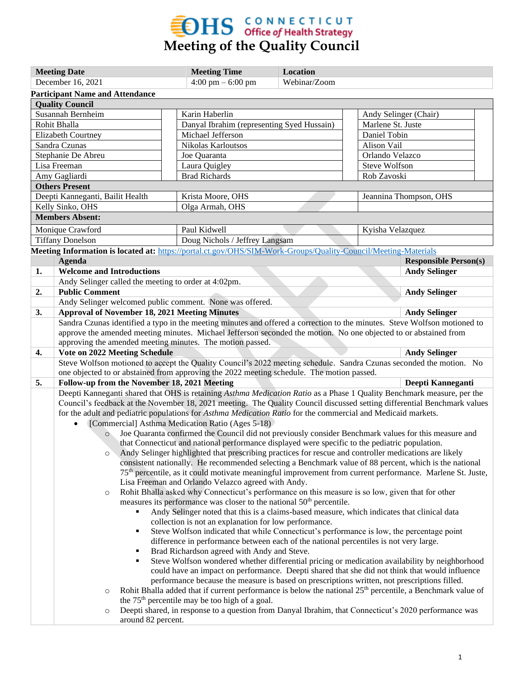

| <b>Meeting Date</b>                                                                            |                                                                                                                                                                                                 | <b>Meeting Time</b>                                                                                   | Location                                                                                                               |                        |                              |  |  |  |
|------------------------------------------------------------------------------------------------|-------------------------------------------------------------------------------------------------------------------------------------------------------------------------------------------------|-------------------------------------------------------------------------------------------------------|------------------------------------------------------------------------------------------------------------------------|------------------------|------------------------------|--|--|--|
| December 16, 2021                                                                              |                                                                                                                                                                                                 | $4:00 \text{ pm} - 6:00 \text{ pm}$                                                                   | Webinar/Zoom                                                                                                           |                        |                              |  |  |  |
| <b>Participant Name and Attendance</b>                                                         |                                                                                                                                                                                                 |                                                                                                       |                                                                                                                        |                        |                              |  |  |  |
| <b>Quality Council</b>                                                                         |                                                                                                                                                                                                 |                                                                                                       |                                                                                                                        |                        |                              |  |  |  |
| Susannah Bernheim                                                                              |                                                                                                                                                                                                 | Karin Haberlin                                                                                        |                                                                                                                        | Andy Selinger (Chair)  |                              |  |  |  |
| Rohit Bhalla                                                                                   |                                                                                                                                                                                                 | Danyal Ibrahim (representing Syed Hussain)                                                            |                                                                                                                        | Marlene St. Juste      |                              |  |  |  |
| <b>Elizabeth Courtney</b>                                                                      |                                                                                                                                                                                                 |                                                                                                       | Michael Jefferson                                                                                                      |                        | Daniel Tobin                 |  |  |  |
| Sandra Czunas                                                                                  |                                                                                                                                                                                                 | Nikolas Karloutsos                                                                                    |                                                                                                                        | Alison Vail            |                              |  |  |  |
| Stephanie De Abreu                                                                             |                                                                                                                                                                                                 | Joe Quaranta                                                                                          |                                                                                                                        | Orlando Velazco        |                              |  |  |  |
| Lisa Freeman                                                                                   |                                                                                                                                                                                                 | Laura Quigley                                                                                         |                                                                                                                        | <b>Steve Wolfson</b>   |                              |  |  |  |
| Amy Gagliardi                                                                                  |                                                                                                                                                                                                 | <b>Brad Richards</b>                                                                                  |                                                                                                                        | Rob Zavoski            |                              |  |  |  |
| <b>Others Present</b>                                                                          |                                                                                                                                                                                                 |                                                                                                       |                                                                                                                        |                        |                              |  |  |  |
| Deepti Kanneganti, Bailit Health                                                               |                                                                                                                                                                                                 | Krista Moore, OHS                                                                                     |                                                                                                                        | Jeannina Thompson, OHS |                              |  |  |  |
| Kelly Sinko, OHS                                                                               |                                                                                                                                                                                                 |                                                                                                       | Olga Armah, OHS                                                                                                        |                        |                              |  |  |  |
|                                                                                                | <b>Members Absent:</b>                                                                                                                                                                          |                                                                                                       |                                                                                                                        |                        |                              |  |  |  |
|                                                                                                | Monique Crawford                                                                                                                                                                                | Paul Kidwell                                                                                          |                                                                                                                        | Kyisha Velazquez       |                              |  |  |  |
|                                                                                                | <b>Tiffany Donelson</b>                                                                                                                                                                         | Doug Nichols / Jeffrey Langsam                                                                        |                                                                                                                        |                        |                              |  |  |  |
|                                                                                                | Meeting Information is located at: https://portal.ct.gov/OHS/SIM-Work-Groups/Quality-Council/Meeting-Materials                                                                                  |                                                                                                       |                                                                                                                        |                        |                              |  |  |  |
|                                                                                                | Agenda                                                                                                                                                                                          |                                                                                                       |                                                                                                                        |                        | <b>Responsible Person(s)</b> |  |  |  |
| 1.                                                                                             | <b>Welcome and Introductions</b>                                                                                                                                                                |                                                                                                       |                                                                                                                        |                        | <b>Andy Selinger</b>         |  |  |  |
|                                                                                                | Andy Selinger called the meeting to order at 4:02pm.                                                                                                                                            |                                                                                                       |                                                                                                                        |                        |                              |  |  |  |
| 2.                                                                                             | <b>Public Comment</b>                                                                                                                                                                           |                                                                                                       |                                                                                                                        |                        | <b>Andy Selinger</b>         |  |  |  |
|                                                                                                | Andy Selinger welcomed public comment. None was offered.                                                                                                                                        |                                                                                                       |                                                                                                                        |                        |                              |  |  |  |
| 3.                                                                                             | <b>Approval of November 18, 2021 Meeting Minutes</b>                                                                                                                                            |                                                                                                       |                                                                                                                        |                        | <b>Andy Selinger</b>         |  |  |  |
|                                                                                                | Sandra Czunas identified a typo in the meeting minutes and offered a correction to the minutes. Steve Wolfson motioned to                                                                       |                                                                                                       |                                                                                                                        |                        |                              |  |  |  |
|                                                                                                | approve the amended meeting minutes. Michael Jefferson seconded the motion. No one objected to or abstained from                                                                                |                                                                                                       |                                                                                                                        |                        |                              |  |  |  |
|                                                                                                | approving the amended meeting minutes. The motion passed.                                                                                                                                       |                                                                                                       |                                                                                                                        |                        |                              |  |  |  |
| 4.                                                                                             | Vote on 2022 Meeting Schedule                                                                                                                                                                   |                                                                                                       |                                                                                                                        |                        | <b>Andy Selinger</b>         |  |  |  |
|                                                                                                | Steve Wolfson motioned to accept the Quality Council's 2022 meeting schedule. Sandra Czunas seconded the motion. No                                                                             |                                                                                                       |                                                                                                                        |                        |                              |  |  |  |
|                                                                                                | one objected to or abstained from approving the 2022 meeting schedule. The motion passed.                                                                                                       |                                                                                                       |                                                                                                                        |                        |                              |  |  |  |
| 5.                                                                                             | Follow-up from the November 18, 2021 Meeting                                                                                                                                                    |                                                                                                       |                                                                                                                        |                        | Deepti Kanneganti            |  |  |  |
|                                                                                                | Deepti Kanneganti shared that OHS is retaining Asthma Medication Ratio as a Phase 1 Quality Benchmark measure, per the                                                                          |                                                                                                       |                                                                                                                        |                        |                              |  |  |  |
|                                                                                                | Council's feedback at the November 18, 2021 meeting. The Quality Council discussed setting differential Benchmark values                                                                        |                                                                                                       |                                                                                                                        |                        |                              |  |  |  |
|                                                                                                | for the adult and pediatric populations for Asthma Medication Ratio for the commercial and Medicaid markets.                                                                                    |                                                                                                       |                                                                                                                        |                        |                              |  |  |  |
|                                                                                                | [Commercial] Asthma Medication Ratio (Ages 5-18)                                                                                                                                                |                                                                                                       |                                                                                                                        |                        |                              |  |  |  |
|                                                                                                | $\circ$                                                                                                                                                                                         | Joe Quaranta confirmed the Council did not previously consider Benchmark values for this measure and  |                                                                                                                        |                        |                              |  |  |  |
|                                                                                                |                                                                                                                                                                                                 | that Connecticut and national performance displayed were specific to the pediatric population.        |                                                                                                                        |                        |                              |  |  |  |
|                                                                                                | Andy Selinger highlighted that prescribing practices for rescue and controller medications are likely                                                                                           |                                                                                                       |                                                                                                                        |                        |                              |  |  |  |
|                                                                                                | consistent nationally. He recommended selecting a Benchmark value of 88 percent, which is the national                                                                                          |                                                                                                       |                                                                                                                        |                        |                              |  |  |  |
|                                                                                                | 75 <sup>th</sup> percentile, as it could motivate meaningful improvement from current performance. Marlene St. Juste,                                                                           |                                                                                                       |                                                                                                                        |                        |                              |  |  |  |
|                                                                                                | Lisa Freeman and Orlando Velazco agreed with Andy.                                                                                                                                              |                                                                                                       |                                                                                                                        |                        |                              |  |  |  |
|                                                                                                | Rohit Bhalla asked why Connecticut's performance on this measure is so low, given that for other<br>$\circ$<br>measures its performance was closer to the national 50 <sup>th</sup> percentile. |                                                                                                       |                                                                                                                        |                        |                              |  |  |  |
|                                                                                                | Andy Selinger noted that this is a claims-based measure, which indicates that clinical data<br>٠                                                                                                |                                                                                                       |                                                                                                                        |                        |                              |  |  |  |
|                                                                                                |                                                                                                                                                                                                 | collection is not an explanation for low performance.                                                 |                                                                                                                        |                        |                              |  |  |  |
|                                                                                                | ٠                                                                                                                                                                                               | Steve Wolfson indicated that while Connecticut's performance is low, the percentage point             |                                                                                                                        |                        |                              |  |  |  |
|                                                                                                |                                                                                                                                                                                                 |                                                                                                       |                                                                                                                        |                        |                              |  |  |  |
|                                                                                                | difference in performance between each of the national percentiles is not very large.<br>Brad Richardson agreed with Andy and Steve.<br>٠                                                       |                                                                                                       |                                                                                                                        |                        |                              |  |  |  |
|                                                                                                | ٠                                                                                                                                                                                               | Steve Wolfson wondered whether differential pricing or medication availability by neighborhood        |                                                                                                                        |                        |                              |  |  |  |
| could have an impact on performance. Deepti shared that she did not think that would influence |                                                                                                                                                                                                 |                                                                                                       |                                                                                                                        |                        |                              |  |  |  |
|                                                                                                | performance because the measure is based on prescriptions written, not prescriptions filled.                                                                                                    |                                                                                                       |                                                                                                                        |                        |                              |  |  |  |
| $\circ$                                                                                        |                                                                                                                                                                                                 |                                                                                                       | Rohit Bhalla added that if current performance is below the national 25 <sup>th</sup> percentile, a Benchmark value of |                        |                              |  |  |  |
|                                                                                                |                                                                                                                                                                                                 | the 75 <sup>th</sup> percentile may be too high of a goal.                                            |                                                                                                                        |                        |                              |  |  |  |
| $\circ$                                                                                        |                                                                                                                                                                                                 | Deepti shared, in response to a question from Danyal Ibrahim, that Connecticut's 2020 performance was |                                                                                                                        |                        |                              |  |  |  |
|                                                                                                | around 82 percent.                                                                                                                                                                              |                                                                                                       |                                                                                                                        |                        |                              |  |  |  |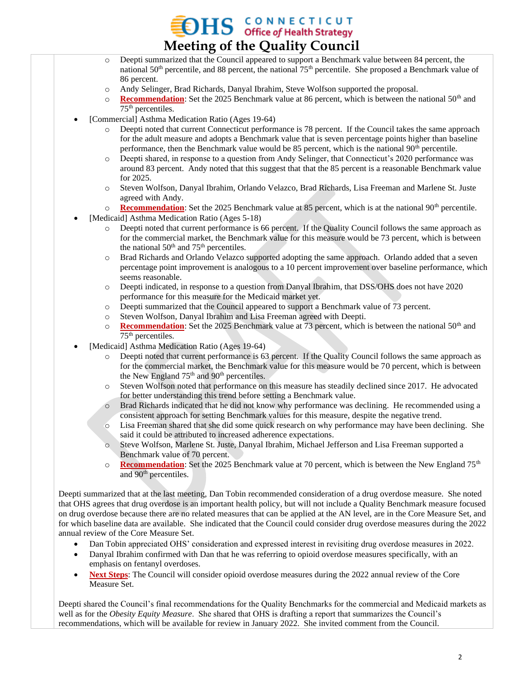## $HS$  CONNECTICUT<br>Office of Health Strategy **Meeting of the Quality Council**

- o Deepti summarized that the Council appeared to support a Benchmark value between 84 percent, the national  $50<sup>th</sup>$  percentile, and 88 percent, the national  $75<sup>th</sup>$  percentile. She proposed a Benchmark value of 86 percent.
- o Andy Selinger, Brad Richards, Danyal Ibrahim, Steve Wolfson supported the proposal.
- o **Recommendation**: Set the 2025 Benchmark value at 86 percent, which is between the national 50th and 75th percentiles.
- [Commercial] Asthma Medication Ratio (Ages 19-64)
	- o Deepti noted that current Connecticut performance is 78 percent. If the Council takes the same approach for the adult measure and adopts a Benchmark value that is seven percentage points higher than baseline performance, then the Benchmark value would be 85 percent, which is the national  $90<sup>th</sup>$  percentile.
	- o Deepti shared, in response to a question from Andy Selinger, that Connecticut's 2020 performance was around 83 percent. Andy noted that this suggest that that the 85 percent is a reasonable Benchmark value for 2025.
	- o Steven Wolfson, Danyal Ibrahim, Orlando Velazco, Brad Richards, Lisa Freeman and Marlene St. Juste agreed with Andy.
	- o **Recommendation**: Set the 2025 Benchmark value at 85 percent, which is at the national 90<sup>th</sup> percentile.
- [Medicaid] Asthma Medication Ratio (Ages 5-18)
	- o Deepti noted that current performance is 66 percent. If the Quality Council follows the same approach as for the commercial market, the Benchmark value for this measure would be 73 percent, which is between the national  $50<sup>th</sup>$  and  $75<sup>th</sup>$  percentiles.
	- o Brad Richards and Orlando Velazco supported adopting the same approach. Orlando added that a seven percentage point improvement is analogous to a 10 percent improvement over baseline performance, which seems reasonable.
	- o Deepti indicated, in response to a question from Danyal Ibrahim, that DSS/OHS does not have 2020 performance for this measure for the Medicaid market yet.
	- o Deepti summarized that the Council appeared to support a Benchmark value of 73 percent.
	- o Steven Wolfson, Danyal Ibrahim and Lisa Freeman agreed with Deepti.
	- $\circ$  **Recommendation**: Set the 2025 Benchmark value at 73 percent, which is between the national 50<sup>th</sup> and  $75<sup>th</sup>$  percentiles.
- [Medicaid] Asthma Medication Ratio (Ages 19-64)
	- Deepti noted that current performance is 63 percent. If the Quality Council follows the same approach as for the commercial market, the Benchmark value for this measure would be 70 percent, which is between the New England 75<sup>th</sup> and 90<sup>th</sup> percentiles.
	- o Steven Wolfson noted that performance on this measure has steadily declined since 2017. He advocated for better understanding this trend before setting a Benchmark value.
	- o Brad Richards indicated that he did not know why performance was declining. He recommended using a consistent approach for setting Benchmark values for this measure, despite the negative trend.
	- o Lisa Freeman shared that she did some quick research on why performance may have been declining. She said it could be attributed to increased adherence expectations.
	- o Steve Wolfson, Marlene St. Juste, Danyal Ibrahim, Michael Jefferson and Lisa Freeman supported a Benchmark value of 70 percent.
	- o **Recommendation**: Set the 2025 Benchmark value at 70 percent, which is between the New England 75th and 90<sup>th</sup> percentiles.

Deepti summarized that at the last meeting, Dan Tobin recommended consideration of a drug overdose measure. She noted that OHS agrees that drug overdose is an important health policy, but will not include a Quality Benchmark measure focused on drug overdose because there are no related measures that can be applied at the AN level, are in the Core Measure Set, and for which baseline data are available. She indicated that the Council could consider drug overdose measures during the 2022 annual review of the Core Measure Set.

- Dan Tobin appreciated OHS' consideration and expressed interest in revisiting drug overdose measures in 2022.
- Danyal Ibrahim confirmed with Dan that he was referring to opioid overdose measures specifically, with an emphasis on fentanyl overdoses.
- **Next Steps**: The Council will consider opioid overdose measures during the 2022 annual review of the Core Measure Set.

Deepti shared the Council's final recommendations for the Quality Benchmarks for the commercial and Medicaid markets as well as for the *Obesity Equity Measure*. She shared that OHS is drafting a report that summarizes the Council's recommendations, which will be available for review in January 2022. She invited comment from the Council.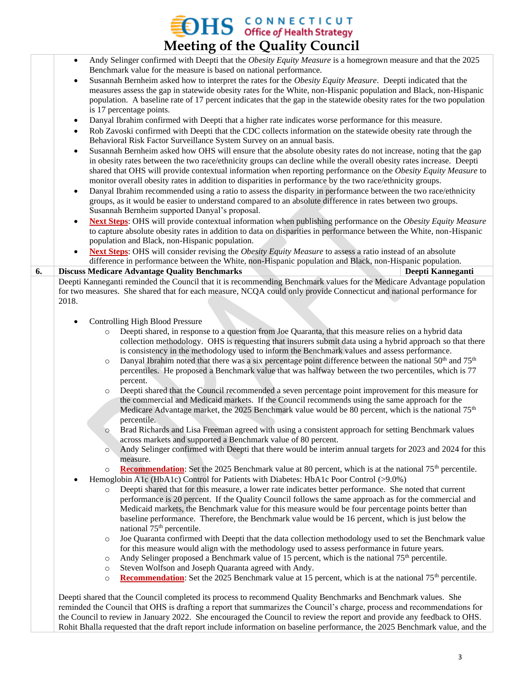## **EDHS** CONNECTICUT<br>Meeting of the Quality Council

|    | $\sigma$<br>. . <b>.</b>                                                                                                                                                                                                                                                                                                                                                                                                                                                             |  |  |  |
|----|--------------------------------------------------------------------------------------------------------------------------------------------------------------------------------------------------------------------------------------------------------------------------------------------------------------------------------------------------------------------------------------------------------------------------------------------------------------------------------------|--|--|--|
|    | Andy Selinger confirmed with Deepti that the Obesity Equity Measure is a homegrown measure and that the 2025<br>$\bullet$                                                                                                                                                                                                                                                                                                                                                            |  |  |  |
|    | Benchmark value for the measure is based on national performance.                                                                                                                                                                                                                                                                                                                                                                                                                    |  |  |  |
|    | Susannah Bernheim asked how to interpret the rates for the Obesity Equity Measure. Deepti indicated that the<br>$\bullet$<br>measures assess the gap in statewide obesity rates for the White, non-Hispanic population and Black, non-Hispanic<br>population. A baseline rate of 17 percent indicates that the gap in the statewide obesity rates for the two population                                                                                                             |  |  |  |
|    | is 17 percentage points.                                                                                                                                                                                                                                                                                                                                                                                                                                                             |  |  |  |
|    | Danyal Ibrahim confirmed with Deepti that a higher rate indicates worse performance for this measure.<br>$\bullet$                                                                                                                                                                                                                                                                                                                                                                   |  |  |  |
|    | Rob Zavoski confirmed with Deepti that the CDC collects information on the statewide obesity rate through the<br>$\bullet$                                                                                                                                                                                                                                                                                                                                                           |  |  |  |
|    | Behavioral Risk Factor Surveillance System Survey on an annual basis.                                                                                                                                                                                                                                                                                                                                                                                                                |  |  |  |
|    | Susannah Bernheim asked how OHS will ensure that the absolute obesity rates do not increase, noting that the gap<br>$\bullet$<br>in obesity rates between the two race/ethnicity groups can decline while the overall obesity rates increase. Deepti<br>shared that OHS will provide contextual information when reporting performance on the Obesity Equity Measure to<br>monitor overall obesity rates in addition to disparities in performance by the two race/ethnicity groups. |  |  |  |
|    | Danyal Ibrahim recommended using a ratio to assess the disparity in performance between the two race/ethnicity<br>$\bullet$                                                                                                                                                                                                                                                                                                                                                          |  |  |  |
|    | groups, as it would be easier to understand compared to an absolute difference in rates between two groups.                                                                                                                                                                                                                                                                                                                                                                          |  |  |  |
|    | Susannah Bernheim supported Danyal's proposal.                                                                                                                                                                                                                                                                                                                                                                                                                                       |  |  |  |
|    | <b>Next Steps:</b> OHS will provide contextual information when publishing performance on the <i>Obesity Equity Measure</i><br>to capture absolute obesity rates in addition to data on disparities in performance between the White, non-Hispanic                                                                                                                                                                                                                                   |  |  |  |
|    | population and Black, non-Hispanic population.                                                                                                                                                                                                                                                                                                                                                                                                                                       |  |  |  |
|    | Next Steps: OHS will consider revising the Obesity Equity Measure to assess a ratio instead of an absolute                                                                                                                                                                                                                                                                                                                                                                           |  |  |  |
| 6. | difference in performance between the White, non-Hispanic population and Black, non-Hispanic population.<br><b>Discuss Medicare Advantage Quality Benchmarks</b><br>Deepti Kanneganti                                                                                                                                                                                                                                                                                                |  |  |  |
|    | Deepti Kanneganti reminded the Council that it is recommending Benchmark values for the Medicare Advantage population                                                                                                                                                                                                                                                                                                                                                                |  |  |  |
|    | for two measures. She shared that for each measure, NCQA could only provide Connecticut and national performance for                                                                                                                                                                                                                                                                                                                                                                 |  |  |  |
|    | 2018.                                                                                                                                                                                                                                                                                                                                                                                                                                                                                |  |  |  |
|    | <b>Controlling High Blood Pressure</b>                                                                                                                                                                                                                                                                                                                                                                                                                                               |  |  |  |
|    | Deepti shared, in response to a question from Joe Quaranta, that this measure relies on a hybrid data<br>$\circ$<br>collection methodology. OHS is requesting that insurers submit data using a hybrid approach so that there                                                                                                                                                                                                                                                        |  |  |  |
|    | is consistency in the methodology used to inform the Benchmark values and assess performance.<br>Danyal Ibrahim noted that there was a six percentage point difference between the national $50th$ and $75th$<br>$\circ$<br>percentiles. He proposed a Benchmark value that was halfway between the two percentiles, which is 77                                                                                                                                                     |  |  |  |
|    | percent.<br>Deepti shared that the Council recommended a seven percentage point improvement for this measure for<br>$\circ$                                                                                                                                                                                                                                                                                                                                                          |  |  |  |
|    | the commercial and Medicaid markets. If the Council recommends using the same approach for the<br>Medicare Advantage market, the 2025 Benchmark value would be 80 percent, which is the national 75 <sup>th</sup>                                                                                                                                                                                                                                                                    |  |  |  |
|    | percentile.<br>Brad Richards and Lisa Freeman agreed with using a consistent approach for setting Benchmark values<br>$\circ$<br>across markets and supported a Benchmark value of 80 percent.                                                                                                                                                                                                                                                                                       |  |  |  |
|    | Andy Selinger confirmed with Deepti that there would be interim annual targets for 2023 and 2024 for this<br>$\circ$<br>measure.                                                                                                                                                                                                                                                                                                                                                     |  |  |  |
|    | <b>Recommendation:</b> Set the 2025 Benchmark value at 80 percent, which is at the national 75 <sup>th</sup> percentile.<br>$\circ$                                                                                                                                                                                                                                                                                                                                                  |  |  |  |
|    | Hemoglobin A1c (HbA1c) Control for Patients with Diabetes: HbA1c Poor Control (>9.0%)                                                                                                                                                                                                                                                                                                                                                                                                |  |  |  |
|    | Deepti shared that for this measure, a lower rate indicates better performance. She noted that current<br>$\circ$                                                                                                                                                                                                                                                                                                                                                                    |  |  |  |
|    | performance is 20 percent. If the Quality Council follows the same approach as for the commercial and<br>Medicaid markets, the Benchmark value for this measure would be four percentage points better than<br>baseline performance. Therefore, the Benchmark value would be 16 percent, which is just below the                                                                                                                                                                     |  |  |  |
|    | national 75 <sup>th</sup> percentile.                                                                                                                                                                                                                                                                                                                                                                                                                                                |  |  |  |
|    | Joe Quaranta confirmed with Deepti that the data collection methodology used to set the Benchmark value<br>$\circ$                                                                                                                                                                                                                                                                                                                                                                   |  |  |  |
|    | for this measure would align with the methodology used to assess performance in future years.                                                                                                                                                                                                                                                                                                                                                                                        |  |  |  |
|    | Andy Selinger proposed a Benchmark value of 15 percent, which is the national 75 <sup>th</sup> percentile.<br>$\circ$                                                                                                                                                                                                                                                                                                                                                                |  |  |  |
|    | Steven Wolfson and Joseph Quaranta agreed with Andy.<br>$\circ$                                                                                                                                                                                                                                                                                                                                                                                                                      |  |  |  |
|    | <b>Recommendation:</b> Set the 2025 Benchmark value at 15 percent, which is at the national 75 <sup>th</sup> percentile.<br>$\circ$                                                                                                                                                                                                                                                                                                                                                  |  |  |  |
|    |                                                                                                                                                                                                                                                                                                                                                                                                                                                                                      |  |  |  |
|    | Deepti shared that the Council completed its process to recommend Quality Benchmarks and Benchmark values. She<br>reminded the Council that OHS is drafting a report that summarizes the Council's charge, process and recommendations for                                                                                                                                                                                                                                           |  |  |  |

the Council to review in January 2022. She encouraged the Council to review the report and provide any feedback to OHS. Rohit Bhalla requested that the draft report include information on baseline performance, the 2025 Benchmark value, and the